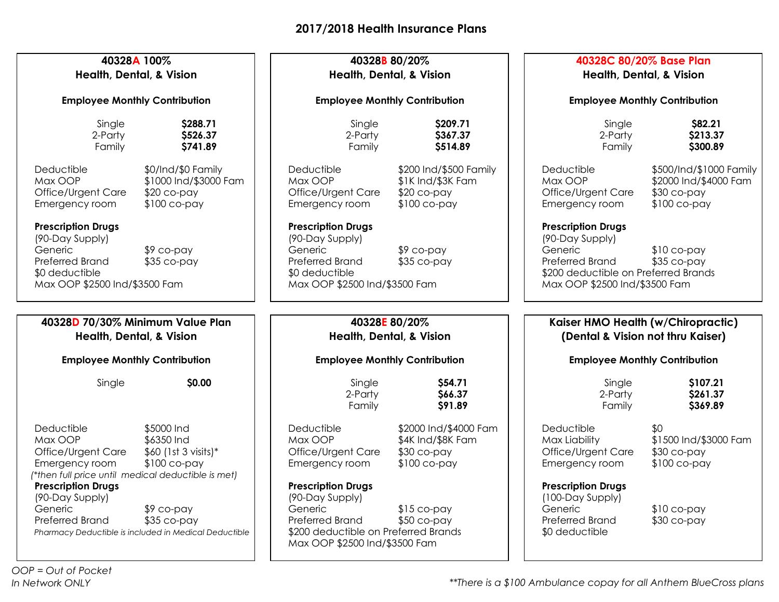| 40328A 100%<br>Health, Dental, & Vision<br><b>Employee Monthly Contribution</b>                                    |                                                                                      | 40328B 80/20%<br>Health, Dental, & Vision<br><b>Employee Monthly Contribution</b>                                                                   |                                                                              | 40328C 80/20% Base Plan<br><b>Health, Dental, &amp; Vision</b><br><b>Employee Monthly Contribution</b> |                                                                                  |
|--------------------------------------------------------------------------------------------------------------------|--------------------------------------------------------------------------------------|-----------------------------------------------------------------------------------------------------------------------------------------------------|------------------------------------------------------------------------------|--------------------------------------------------------------------------------------------------------|----------------------------------------------------------------------------------|
|                                                                                                                    |                                                                                      |                                                                                                                                                     |                                                                              |                                                                                                        |                                                                                  |
| Deductible<br>Max OOP<br>Office/Urgent Care<br>Emergency room<br><b>Prescription Drugs</b>                         | \$0/Ind/\$0 Family<br>\$1000 Ind/\$3000 Fam<br>$$20$ co-pay<br>$$100$ co-pay         | Deductible<br>Max OOP<br>Office/Urgent Care<br>Emergency room<br><b>Prescription Drugs</b>                                                          | \$200 Ind/\$500 Family<br>\$1K Ind/\$3K Fam<br>$$20$ co-pay<br>$$100$ co-pay | Deductible<br>Max OOP<br>Office/Urgent Care<br>Emergency room<br><b>Prescription Drugs</b>             | \$500/Ind/\$1000 Family<br>\$2000 Ind/\$4000 Fam<br>\$30 co-pay<br>$$100$ co-pay |
| (90-Day Supply)<br>Generic<br><b>Preferred Brand</b><br>\$0 deductible<br>Max OOP \$2500 Ind/\$3500 Fam            | \$9 co-pay<br>$$35$ co-pay                                                           | (90-Day Supply)<br>Generic<br>Preferred Brand<br>\$0 deductible<br>Max OOP \$2500 Ind/\$3500 Fam                                                    | $$9$ co-pay<br>$$35$ co-pay                                                  | (90-Day Supply)<br>Generic<br>Preferred Brand<br>Max OOP \$2500 Ind/\$3500 Fam                         | $$10$ co-pay<br>$$35$ co-pay<br>\$200 deductible on Preferred Brands             |
| 40328D 70/30% Minimum Value Plan<br><b>Health, Dental, &amp; Vision</b>                                            |                                                                                      | 40328E 80/20%<br><b>Health, Dental, &amp; Vision</b>                                                                                                |                                                                              | Kaiser HMO Health (w/Chiropractic)<br>(Dental & Vision not thru Kaiser)                                |                                                                                  |
| <b>Employee Monthly Contribution</b>                                                                               |                                                                                      | <b>Employee Monthly Contribution</b>                                                                                                                |                                                                              | <b>Employee Monthly Contribution</b>                                                                   |                                                                                  |
| Single                                                                                                             | \$0.00                                                                               | Single<br>2-Party<br>Family                                                                                                                         | \$54.71<br>\$66.37<br>\$91.89                                                | Single<br>2-Party<br>Family                                                                            | \$107.21<br>\$261.37<br>\$369.89                                                 |
| Deductible<br>Max OOP<br>Office/Urgent Care<br>Emergency room<br>*then full price until medical deductible is met) | \$5000 Ind<br>\$6350 Ind<br>$$60$ (1st 3 visits)*<br>\$100 co-pay                    | Deductible<br>Max OOP<br>Office/Urgent Care<br>Emergency room                                                                                       | \$2000 Ind/\$4000 Fam<br>\$4K Ind/\$8K Fam<br>$$30$ co-pay<br>$$100$ co-pay  | Deductible<br>Max Liability<br>Office/Urgent Care<br>Emergency room                                    | \$0<br>\$1500 Ind/\$3000 Fam<br>$$30$ co-pay<br>$$100$ co-pay                    |
| <b>Prescription Drugs</b><br>(90-Day Supply)<br>Generic<br><b>Preferred Brand</b>                                  | $$9$ co-pay<br>$$35$ co-pay<br>Pharmacy Deductible is included in Medical Deductible | <b>Prescription Drugs</b><br>(90-Day Supply)<br>Generic<br>Preferred Brand<br>\$200 deductible on Preferred Brands<br>Max OOP \$2500 Ind/\$3500 Fam | $$15$ co-pay<br>$$50$ co-pay                                                 | <b>Prescription Drugs</b><br>(100-Day Supply)<br>Generic<br>Preferred Brand<br>\$0 deductible          | $$10$ co-pay<br>$$30$ co-pay                                                     |